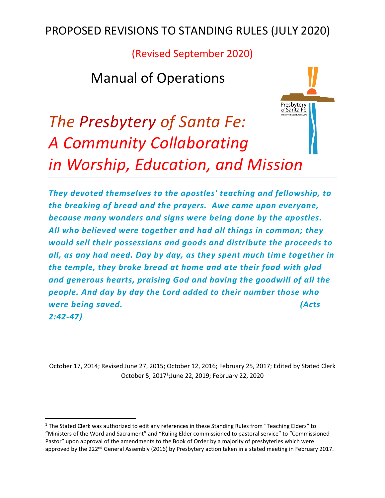(Revised September 2020)

## Manual of Operations

# Presbytery<br>of Santa Fe *The Presbytery of Santa Fe: A Community Collaborating in Worship, Education, and Mission*

*They devoted themselves to the apostles' teaching and fellowship, to the breaking of bread and the prayers. Awe came upon everyone, because many wonders and signs were being done by the apostles. All who believed were together and had all things in common; they would sell their possessions and goods and distribute the proceeds to all, as any had need. Day by day, as they spent much time together in the temple, they broke bread at home and ate their food with glad and generous hearts, praising God and having the goodwill of all the people. And day by day the Lord added to their number those who were being saved. (Acts 2:42-47)*

October 17, 2014; Revised June 27, 2015; October 12, 2016; February 25, 2017; Edited by Stated Clerk October 5, 2017<sup>1</sup>;June 22, 2019; February 22, 2020

 $1$  The Stated Clerk was authorized to edit any references in these Standing Rules from "Teaching Elders" to "Ministers of the Word and Sacrament" and "Ruling Elder commissioned to pastoral service" to "Commissioned Pastor" upon approval of the amendments to the Book of Order by a majority of presbyteries which were approved by the 222<sup>nd</sup> General Assembly (2016) by Presbytery action taken in a stated meeting in February 2017.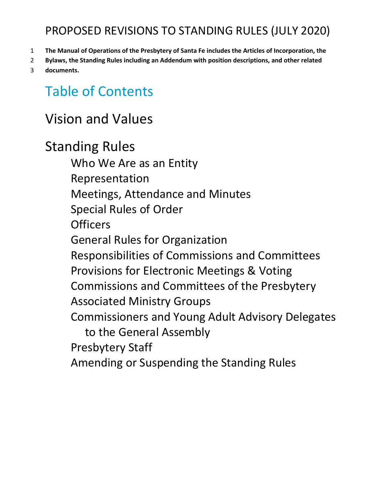- 1 **The Manual of Operations of the Presbytery of Santa Fe includes the Articles of Incorporation, the**
- 2 **Bylaws, the Standing Rules including an Addendum with position descriptions, and other related**
- 3 **documents.**

## Table of Contents

## Vision and Values

Standing Rules Who We Are as an Entity Representation Meetings, Attendance and Minutes Special Rules of Order **Officers** General Rules for Organization Responsibilities of Commissions and Committees Provisions for Electronic Meetings & Voting Commissions and Committees of the Presbytery Associated Ministry Groups Commissioners and Young Adult Advisory Delegates to the General Assembly Presbytery Staff Amending or Suspending the Standing Rules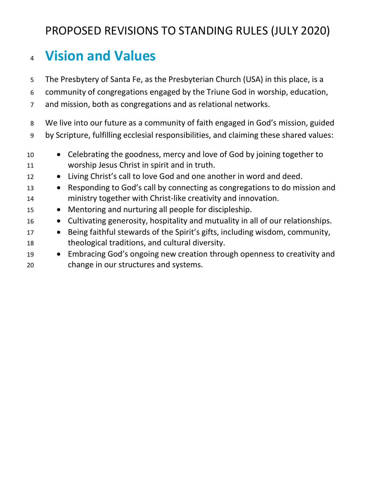## **Vision and Values**

The Presbytery of Santa Fe, as the Presbyterian Church (USA) in this place, is a

community of congregations engaged by the Triune God in worship, education,

and mission, both as congregations and as relational networks.

 We live into our future as a community of faith engaged in God's mission, guided by Scripture, fulfilling ecclesial responsibilities, and claiming these shared values:

- Celebrating the goodness, mercy and love of God by joining together to worship Jesus Christ in spirit and in truth.
- Living Christ's call to love God and one another in word and deed.
- Responding to God's call by connecting as congregations to do mission and ministry together with Christ-like creativity and innovation.
- Mentoring and nurturing all people for discipleship.
- Cultivating generosity, hospitality and mutuality in all of our relationships.
- Being faithful stewards of the Spirit's gifts, including wisdom, community, theological traditions, and cultural diversity.
- Embracing God's ongoing new creation through openness to creativity and change in our structures and systems.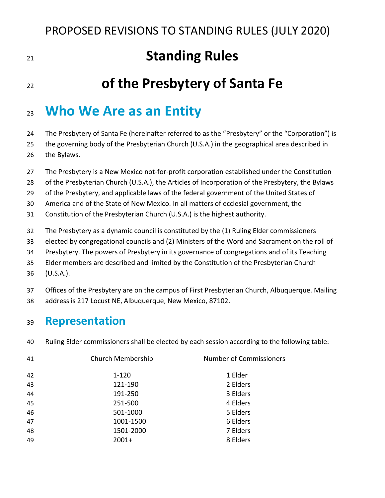## **Standing Rules**

## **of the Presbytery of Santa Fe**

## **Who We Are as an Entity**

The Presbytery of Santa Fe (hereinafter referred to as the "Presbytery" or the "Corporation") is

the governing body of the Presbyterian Church (U.S.A.) in the geographical area described in

- the Bylaws.
- The Presbytery is a New Mexico not-for-profit corporation established under the Constitution
- of the Presbyterian Church (U.S.A.), the Articles of Incorporation of the Presbytery, the Bylaws
- 29 of the Presbytery, and applicable laws of the federal government of the United States of

America and of the State of New Mexico. In all matters of ecclesial government, the

- Constitution of the Presbyterian Church (U.S.A.) is the highest authority.
- The Presbytery as a dynamic council is constituted by the (1) Ruling Elder commissioners
- elected by congregational councils and (2) Ministers of the Word and Sacrament on the roll of
- Presbytery. The powers of Presbytery in its governance of congregations and of its Teaching
- Elder members are described and limited by the Constitution of the Presbyterian Church
- (U.S.A.).
- Offices of the Presbytery are on the campus of First Presbyterian Church, Albuquerque. Mailing
- address is 217 Locust NE, Albuquerque, New Mexico, 87102.

#### **Representation**

Ruling Elder commissioners shall be elected by each session according to the following table:

| 41 | Church Membership | <b>Number of Commissioners</b> |
|----|-------------------|--------------------------------|
|    |                   |                                |
| 42 | $1 - 120$         | 1 Elder                        |
| 43 | 121-190           | 2 Elders                       |
| 44 | 191-250           | 3 Elders                       |
| 45 | 251-500           | 4 Elders                       |
| 46 | 501-1000          | 5 Elders                       |
| 47 | 1001-1500         | 6 Elders                       |
| 48 | 1501-2000         | 7 Elders                       |
| 49 | $2001+$           | 8 Elders                       |
|    |                   |                                |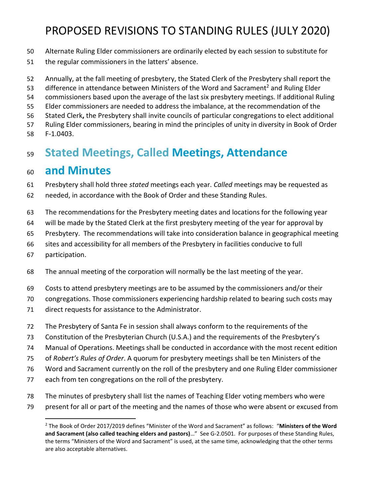- Alternate Ruling Elder commissioners are ordinarily elected by each session to substitute for
- the regular commissioners in the latters' absence.
- Annually, at the fall meeting of presbytery, the Stated Clerk of the Presbytery shall report the
- 53 difference in attendance between Ministers of the Word and Sacrament<sup>2</sup> and Ruling Elder
- commissioners based upon the average of the last six presbytery meetings. If additional Ruling
- Elder commissioners are needed to address the imbalance, at the recommendation of the
- Stated Clerk**,** the Presbytery shall invite councils of particular congregations to elect additional
- Ruling Elder commissioners, bearing in mind the principles of unity in diversity in Book of Order F-1.0403.

## **Stated Meetings, Called Meetings, Attendance**

### **and Minutes**

- Presbytery shall hold three *stated* meetings each year. *Called* meetings may be requested as
- needed, in accordance with the Book of Order and these Standing Rules.
- The recommendations for the Presbytery meeting dates and locations for the following year
- will be made by the Stated Clerk at the first presbytery meeting of the year for approval by
- Presbytery. The recommendations will take into consideration balance in geographical meeting
- sites and accessibility for all members of the Presbytery in facilities conducive to full
- participation.
- The annual meeting of the corporation will normally be the last meeting of the year.
- Costs to attend presbytery meetings are to be assumed by the commissioners and/or their
- congregations. Those commissioners experiencing hardship related to bearing such costs may
- direct requests for assistance to the Administrator.
- The Presbytery of Santa Fe in session shall always conform to the requirements of the
- Constitution of the Presbyterian Church (U.S.A.) and the requirements of the Presbytery's
- Manual of Operations. Meetings shall be conducted in accordance with the most recent edition
- of *Robert's Rules of Order*. A quorum for presbytery meetings shall be ten Ministers of the
- Word and Sacrament currently on the roll of the presbytery and one Ruling Elder commissioner
- each from ten congregations on the roll of the presbytery.
- The minutes of presbytery shall list the names of Teaching Elder voting members who were
- present for all or part of the meeting and the names of those who were absent or excused from

 The Book of Order 2017/2019 defines "Minister of the Word and Sacrament" as follows: "**Ministers of the Word and Sacrament (also called teaching elders and pastors)**…" See G-2.0501. For purposes of these Standing Rules, the terms "Ministers of the Word and Sacrament" is used, at the same time, acknowledging that the other terms are also acceptable alternatives.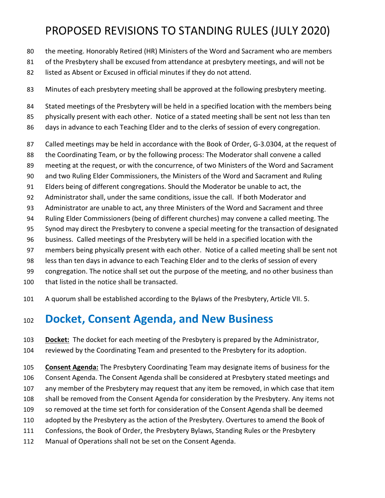- the meeting. Honorably Retired (HR) Ministers of the Word and Sacrament who are members
- 81 of the Presbytery shall be excused from attendance at presbytery meetings, and will not be
- 82 listed as Absent or Excused in official minutes if they do not attend.
- Minutes of each presbytery meeting shall be approved at the following presbytery meeting.
- Stated meetings of the Presbytery will be held in a specified location with the members being
- 85 physically present with each other. Notice of a stated meeting shall be sent not less than ten
- 86 days in advance to each Teaching Elder and to the clerks of session of every congregation.
- Called meetings may be held in accordance with the Book of Order, G-3.0304, at the request of
- the Coordinating Team, or by the following process: The Moderator shall convene a called
- meeting at the request, or with the concurrence, of two Ministers of the Word and Sacrament
- and two Ruling Elder Commissioners, the Ministers of the Word and Sacrament and Ruling
- Elders being of different congregations. Should the Moderator be unable to act, the
- Administrator shall, under the same conditions, issue the call. If both Moderator and
- Administrator are unable to act, any three Ministers of the Word and Sacrament and three
- Ruling Elder Commissioners (being of different churches) may convene a called meeting. The
- Synod may direct the Presbytery to convene a special meeting for the transaction of designated
- business. Called meetings of the Presbytery will be held in a specified location with the
- members being physically present with each other. Notice of a called meeting shall be sent not
- less than ten days in advance to each Teaching Elder and to the clerks of session of every
- congregation. The notice shall set out the purpose of the meeting, and no other business than
- that listed in the notice shall be transacted.
- A quorum shall be established according to the Bylaws of the Presbytery, Article VII. 5.

#### **Docket, Consent Agenda, and New Business**

- **Docket:** The docket for each meeting of the Presbytery is prepared by the Administrator,
- reviewed by the Coordinating Team and presented to the Presbytery for its adoption.
- **Consent Agenda:** The Presbytery Coordinating Team may designate items of business for the Consent Agenda. The Consent Agenda shall be considered at Presbytery stated meetings and any member of the Presbytery may request that any item be removed, in which case that item shall be removed from the Consent Agenda for consideration by the Presbytery. Any items not so removed at the time set forth for consideration of the Consent Agenda shall be deemed adopted by the Presbytery as the action of the Presbytery. Overtures to amend the Book of Confessions, the Book of Order, the Presbytery Bylaws, Standing Rules or the Presbytery
- Manual of Operations shall not be set on the Consent Agenda.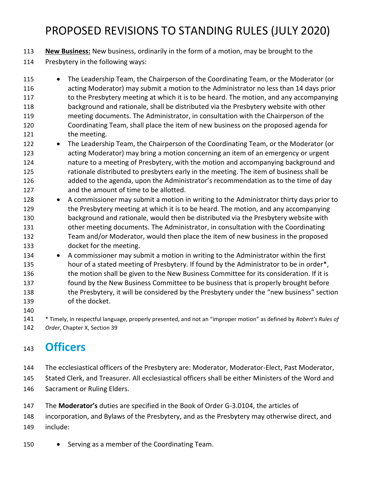**New Business:** New business, ordinarily in the form of a motion, may be brought to the Presbytery in the following ways:

- 115 The Leadership Team, the Chairperson of the Coordinating Team, or the Moderator (or acting Moderator) may submit a motion to the Administrator no less than 14 days prior 117 to the Presbytery meeting at which it is to be heard. The motion, and any accompanying background and rationale, shall be distributed via the Presbytery website with other meeting documents. The Administrator, in consultation with the Chairperson of the Coordinating Team, shall place the item of new business on the proposed agenda for 121 the meeting.
- The Leadership Team, the Chairperson of the Coordinating Team, or the Moderator (or acting Moderator) may bring a motion concerning an item of an emergency or urgent nature to a meeting of Presbytery, with the motion and accompanying background and 125 rationale distributed to presbyters early in the meeting. The item of business shall be added to the agenda, upon the Administrator's recommendation as to the time of day and the amount of time to be allotted.
- 128 A commissioner may submit a motion in writing to the Administrator thirty days prior to 129 the Presbytery meeting at which it is to be heard. The motion, and any accompanying background and rationale, would then be distributed via the Presbytery website with other meeting documents. The Administrator, in consultation with the Coordinating Team and/or Moderator, would then place the item of new business in the proposed docket for the meeting.
- 134 A commissioner may submit a motion in writing to the Administrator within the first 135 hour of a stated meeting of Presbytery. If found by the Administrator to be in order\*, 136 the motion shall be given to the New Business Committee for its consideration. If it is found by the New Business Committee to be business that is properly brought before 138 the Presbytery, it will be considered by the Presbytery under the "new business" section of the docket.
- 

 \* Timely, in respectful language, properly presented, and not an "improper motion" as defined by *Robert's Rules of Order*, Chapter X, Section 39

#### **Officers**

- The ecclesiastical officers of the Presbytery are: Moderator, Moderator-Elect, Past Moderator,
- Stated Clerk, and Treasurer. All ecclesiastical officers shall be either Ministers of the Word and
- Sacrament or Ruling Elders.
- The **Moderator's** duties are specified in the Book of Order G-3.0104, the articles of

incorporation, and Bylaws of the Presbytery, and as the Presbytery may otherwise direct, and

- include:
- 150 Serving as a member of the Coordinating Team.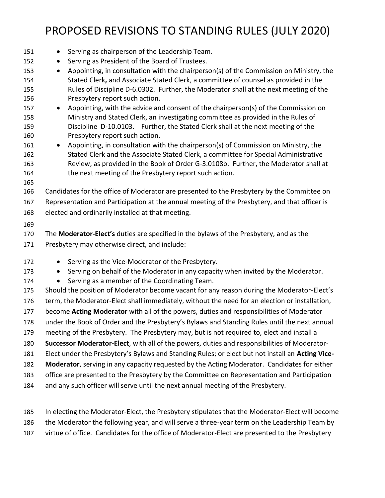- 151 Serving as chairperson of the Leadership Team. • Serving as President of the Board of Trustees. • Appointing, in consultation with the chairperson(s) of the Commission on Ministry, the Stated Clerk**,** and Associate Stated Clerk, a committee of counsel as provided in the Rules of Discipline D-6.0302. Further, the Moderator shall at the next meeting of the Presbytery report such action. • Appointing, with the advice and consent of the chairperson(s) of the Commission on Ministry and Stated Clerk, an investigating committee as provided in the Rules of Discipline D-10.0103.Further, the Stated Clerk shall at the next meeting of the Presbytery report such action. 161 • Appointing, in consultation with the chairperson(s) of Commission on Ministry, the Stated Clerk and the Associate Stated Clerk, a committee for Special Administrative Review, as provided in the Book of Order G-3.0108b. Further, the Moderator shall at 164 the next meeting of the Presbytery report such action. Candidates for the office of Moderator are presented to the Presbytery by the Committee on Representation and Participation at the annual meeting of the Presbytery, and that officer is elected and ordinarily installed at that meeting. The **Moderator-Elect's** duties are specified in the bylaws of the Presbytery, and as the Presbytery may otherwise direct, and include: 172 • Serving as the Vice-Moderator of the Presbytery. 173 • Serving on behalf of the Moderator in any capacity when invited by the Moderator. 174 • Serving as a member of the Coordinating Team. Should the position of Moderator become vacant for any reason during the Moderator-Elect's term, the Moderator-Elect shall immediately, without the need for an election or installation, become **Acting Moderator** with all of the powers, duties and responsibilities of Moderator under the Book of Order and the Presbytery's Bylaws and Standing Rules until the next annual meeting of the Presbytery. The Presbytery may, but is not required to, elect and install a **Successor Moderator-Elect**, with all of the powers, duties and responsibilities of Moderator- Elect under the Presbytery's Bylaws and Standing Rules; or elect but not install an **Acting Vice- Moderator**, serving in any capacity requested by the Acting Moderator. Candidates for either office are presented to the Presbytery by the Committee on Representation and Participation and any such officer will serve until the next annual meeting of the Presbytery.
- In electing the Moderator-Elect, the Presbytery stipulates that the Moderator-Elect will become the Moderator the following year, and will serve a three-year term on the Leadership Team by virtue of office. Candidates for the office of Moderator-Elect are presented to the Presbytery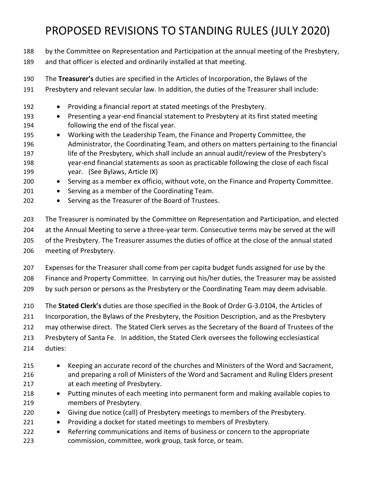by the Committee on Representation and Participation at the annual meeting of the Presbytery, and that officer is elected and ordinarily installed at that meeting.

 The **Treasurer's** duties are specified in the Articles of Incorporation, the Bylaws of the Presbytery and relevant secular law. In addition, the duties of the Treasurer shall include:

- Providing a financial report at stated meetings of the Presbytery.
- Presenting a year-end financial statement to Presbytery at its first stated meeting following the end of the fiscal year.
- 195 Working with the Leadership Team, the Finance and Property Committee, the Administrator, the Coordinating Team, and others on matters pertaining to the financial 197 life of the Presbytery, which shall include an annual audit/review of the Presbytery's year-end financial statements as soon as practicable following the close of each fiscal year. (See Bylaws, Article IX)
- Serving as a member ex officio, without vote, on the Finance and Property Committee.
- 201 Serving as a member of the Coordinating Team.
- Serving as the Treasurer of the Board of Trustees.

 The Treasurer is nominated by the Committee on Representation and Participation, and elected at the Annual Meeting to serve a three-year term. Consecutive terms may be served at the will of the Presbytery. The Treasurer assumes the duties of office at the close of the annual stated meeting of Presbytery.

 Expenses for the Treasurer shall come from per capita budget funds assigned for use by the Finance and Property Committee. In carrying out his/her duties, the Treasurer may be assisted by such person or persons as the Presbytery or the Coordinating Team may deem advisable.

 The **Stated Clerk's** duties are those specified in the Book of Order G-3.0104, the Articles of Incorporation, the Bylaws of the Presbytery, the Position Description, and as the Presbytery may otherwise direct. The Stated Clerk serves as the Secretary of the Board of Trustees of the Presbytery of Santa Fe. In addition, the Stated Clerk oversees the following ecclesiastical duties:

- Keeping an accurate record of the churches and Ministers of the Word and Sacrament, and preparing a roll of Ministers of the Word and Sacrament and Ruling Elders present at each meeting of Presbytery.
- Putting minutes of each meeting into permanent form and making available copies to members of Presbytery.
- Giving due notice (call) of Presbytery meetings to members of the Presbytery.
- Providing a docket for stated meetings to members of Presbytery.
- Referring communications and items of business or concern to the appropriate commission, committee, work group, task force, or team.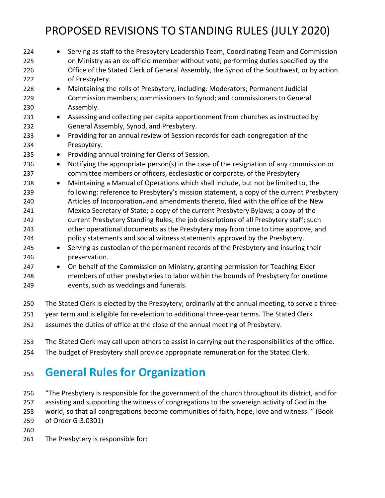| 224 | Serving as staff to the Presbytery Leadership Team, Coordinating Team and Commission<br>$\bullet$    |
|-----|------------------------------------------------------------------------------------------------------|
| 225 | on Ministry as an ex-officio member without vote; performing duties specified by the                 |
| 226 | Office of the Stated Clerk of General Assembly, the Synod of the Southwest, or by action             |
| 227 | of Presbytery.                                                                                       |
| 228 | Maintaining the rolls of Presbytery, including: Moderators; Permanent Judicial<br>$\bullet$          |
| 229 | Commission members; commissioners to Synod; and commissioners to General                             |
| 230 | Assembly.                                                                                            |
| 231 | Assessing and collecting per capita apportionment from churches as instructed by<br>$\bullet$        |
| 232 | General Assembly, Synod, and Presbytery.                                                             |
| 233 | Providing for an annual review of Session records for each congregation of the<br>$\bullet$          |
| 234 | Presbytery.                                                                                          |
| 235 | Providing annual training for Clerks of Session.<br>$\bullet$                                        |
| 236 | Notifying the appropriate person(s) in the case of the resignation of any commission or<br>$\bullet$ |
| 237 | committee members or officers, ecclesiastic or corporate, of the Presbytery                          |
| 238 | Maintaining a Manual of Operations which shall include, but not be limited to, the<br>$\bullet$      |
| 239 | following: reference to Presbytery's mission statement, a copy of the current Presbytery             |
| 240 | Articles of Incorporation-and amendments thereto, filed with the office of the New                   |
| 241 | Mexico Secretary of State; a copy of the current Presbytery Bylaws; a copy of the                    |
| 242 | current Presbytery Standing Rules; the job descriptions of all Presbytery staff; such                |
| 243 | other operational documents as the Presbytery may from time to time approve, and                     |
| 244 | policy statements and social witness statements approved by the Presbytery.                          |
| 245 | Serving as custodian of the permanent records of the Presbytery and insuring their<br>$\bullet$      |
| 246 | preservation.                                                                                        |
| 247 | On behalf of the Commission on Ministry, granting permission for Teaching Elder<br>$\bullet$         |
| 248 | members of other presbyteries to labor within the bounds of Presbytery for onetime                   |
| 249 | events, such as weddings and funerals.                                                               |
| 250 | The Stated Clerk is elected by the Presbytery, ordinarily at the annual meeting, to serve a three-   |
|     |                                                                                                      |

- year term and is eligible for re-election to additional three-year terms. The Stated Clerk
- assumes the duties of office at the close of the annual meeting of Presbytery.
- The Stated Clerk may call upon others to assist in carrying out the responsibilities of the office.
- The budget of Presbytery shall provide appropriate remuneration for the Stated Clerk.

### **General Rules for Organization**

 "The Presbytery is responsible for the government of the church throughout its district, and for assisting and supporting the witness of congregations to the sovereign activity of God in the world, so that all congregations become communities of faith, hope, love and witness. " (Book

of Order G-3.0301)

The Presbytery is responsible for: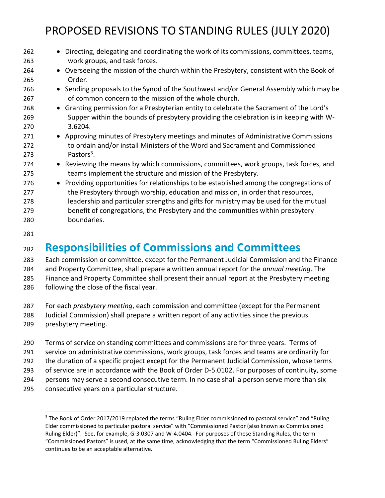| • Overseeing the mission of the church within the Presbytery, consistent with the Book of<br>264<br>Order.<br>265<br>• Sending proposals to the Synod of the Southwest and/or General Assembly which may be<br>266<br>of common concern to the mission of the whole church.<br>267<br>• Granting permission for a Presbyterian entity to celebrate the Sacrament of the Lord's<br>268<br>Supper within the bounds of presbytery providing the celebration is in keeping with W-<br>269<br>3.6204.<br>270<br>• Approving minutes of Presbytery meetings and minutes of Administrative Commissions<br>271<br>to ordain and/or install Ministers of the Word and Sacrament and Commissioned<br>272 |
|-------------------------------------------------------------------------------------------------------------------------------------------------------------------------------------------------------------------------------------------------------------------------------------------------------------------------------------------------------------------------------------------------------------------------------------------------------------------------------------------------------------------------------------------------------------------------------------------------------------------------------------------------------------------------------------------------|
|                                                                                                                                                                                                                                                                                                                                                                                                                                                                                                                                                                                                                                                                                                 |
|                                                                                                                                                                                                                                                                                                                                                                                                                                                                                                                                                                                                                                                                                                 |
|                                                                                                                                                                                                                                                                                                                                                                                                                                                                                                                                                                                                                                                                                                 |
|                                                                                                                                                                                                                                                                                                                                                                                                                                                                                                                                                                                                                                                                                                 |
|                                                                                                                                                                                                                                                                                                                                                                                                                                                                                                                                                                                                                                                                                                 |
|                                                                                                                                                                                                                                                                                                                                                                                                                                                                                                                                                                                                                                                                                                 |
|                                                                                                                                                                                                                                                                                                                                                                                                                                                                                                                                                                                                                                                                                                 |
|                                                                                                                                                                                                                                                                                                                                                                                                                                                                                                                                                                                                                                                                                                 |
|                                                                                                                                                                                                                                                                                                                                                                                                                                                                                                                                                                                                                                                                                                 |
| Pastors <sup>3</sup> .<br>273                                                                                                                                                                                                                                                                                                                                                                                                                                                                                                                                                                                                                                                                   |
| • Reviewing the means by which commissions, committees, work groups, task forces, and<br>274                                                                                                                                                                                                                                                                                                                                                                                                                                                                                                                                                                                                    |
| teams implement the structure and mission of the Presbytery.<br>275                                                                                                                                                                                                                                                                                                                                                                                                                                                                                                                                                                                                                             |
| • Providing opportunities for relationships to be established among the congregations of<br>276                                                                                                                                                                                                                                                                                                                                                                                                                                                                                                                                                                                                 |
| the Presbytery through worship, education and mission, in order that resources,<br>277                                                                                                                                                                                                                                                                                                                                                                                                                                                                                                                                                                                                          |
| leadership and particular strengths and gifts for ministry may be used for the mutual<br>278                                                                                                                                                                                                                                                                                                                                                                                                                                                                                                                                                                                                    |
| benefit of congregations, the Presbytery and the communities within presbytery<br>279                                                                                                                                                                                                                                                                                                                                                                                                                                                                                                                                                                                                           |
| boundaries.<br>280                                                                                                                                                                                                                                                                                                                                                                                                                                                                                                                                                                                                                                                                              |

#### **Responsibilities of Commissions and Committees**

 Each commission or committee, except for the Permanent Judicial Commission and the Finance and Property Committee, shall prepare a written annual report for the *annual meeting*. The Finance and Property Committee shall present their annual report at the Presbytery meeting 286 following the close of the fiscal year.

- For each *presbytery meeting*, each commission and committee (except for the Permanent
- Judicial Commission) shall prepare a written report of any activities since the previous
- presbytery meeting.
- Terms of service on standing committees and commissions are for three years. Terms of
- service on administrative commissions, work groups, task forces and teams are ordinarily for
- the duration of a specific project except for the Permanent Judicial Commission, whose terms
- of service are in accordance with the Book of Order D-5.0102. For purposes of continuity, some
- persons may serve a second consecutive term. In no case shall a person serve more than six
- consecutive years on a particular structure.

<sup>&</sup>lt;sup>3</sup> The Book of Order 2017/2019 replaced the terms "Ruling Elder commissioned to pastoral service" and "Ruling Elder commissioned to particular pastoral service" with "Commissioned Pastor (also known as Commissioned Ruling Elder)". See, for example, G-3.0307 and W-4.0404. For purposes of these Standing Rules, the term "Commissioned Pastors" is used, at the same time, acknowledging that the term "Commissioned Ruling Elders" continues to be an acceptable alternative.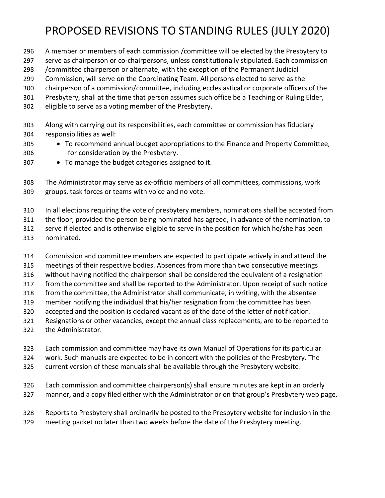- A member or members of each commission /committee will be elected by the Presbytery to
- serve as chairperson or co-chairpersons, unless constitutionally stipulated. Each commission
- /committee chairperson or alternate, with the exception of the Permanent Judicial
- Commission, will serve on the Coordinating Team. All persons elected to serve as the
- chairperson of a commission/committee, including ecclesiastical or corporate officers of the
- Presbytery, shall at the time that person assumes such office be a Teaching or Ruling Elder,
- eligible to serve as a voting member of the Presbytery.
- Along with carrying out its responsibilities, each committee or commission has fiduciary responsibilities as well:
- To recommend annual budget appropriations to the Finance and Property Committee, for consideration by the Presbytery.
- To manage the budget categories assigned to it.

 The Administrator may serve as ex-officio members of all committees, commissions, work groups, task forces or teams with voice and no vote.

- In all elections requiring the vote of presbytery members, nominations shall be accepted from
- the floor; provided the person being nominated has agreed, in advance of the nomination, to
- serve if elected and is otherwise eligible to serve in the position for which he/she has been
- nominated.
- Commission and committee members are expected to participate actively in and attend the
- meetings of their respective bodies. Absences from more than two consecutive meetings
- without having notified the chairperson shall be considered the equivalent of a resignation
- from the committee and shall be reported to the Administrator. Upon receipt of such notice
- from the committee, the Administrator shall communicate, in writing, with the absentee member notifying the individual that his/her resignation from the committee has been
- accepted and the position is declared vacant as of the date of the letter of notification.
- Resignations or other vacancies, except the annual class replacements, are to be reported to
- the Administrator.
- Each commission and committee may have its own Manual of Operations for its particular
- work. Such manuals are expected to be in concert with the policies of the Presbytery. The
- current version of these manuals shall be available through the Presbytery website.
- Each commission and committee chairperson(s) shall ensure minutes are kept in an orderly manner, and a copy filed either with the Administrator or on that group's Presbytery web page.
- Reports to Presbytery shall ordinarily be posted to the Presbytery website for inclusion in the meeting packet no later than two weeks before the date of the Presbytery meeting.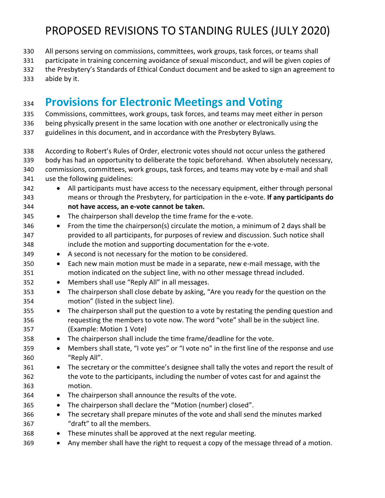- All persons serving on commissions, committees, work groups, task forces, or teams shall
- participate in training concerning avoidance of sexual misconduct, and will be given copies of
- the Presbytery's Standards of Ethical Conduct document and be asked to sign an agreement to
- abide by it.

### **Provisions for Electronic Meetings and Voting**

- Commissions, committees, work groups, task forces, and teams may meet either in person
- being physically present in the same location with one another or electronically using the
- guidelines in this document, and in accordance with the Presbytery Bylaws.
- According to Robert's Rules of Order, electronic votes should not occur unless the gathered
- body has had an opportunity to deliberate the topic beforehand. When absolutely necessary,
- commissions, committees, work groups, task forces, and teams may vote by e-mail and shall
- use the following guidelines:
- All participants must have access to the necessary equipment, either through personal means or through the Presbytery, for participation in the e-vote. **If any participants do not have access, an e-vote cannot be taken.**
- The chairperson shall develop the time frame for the e-vote.
- From the time the chairperson(s) circulate the motion, a minimum of 2 days shall be provided to all participants, for purposes of review and discussion. Such notice shall include the motion and supporting documentation for the e-vote.
- A second is not necessary for the motion to be considered.
- Each new main motion must be made in a separate, new e-mail message, with the motion indicated on the subject line, with no other message thread included.
- Members shall use "Reply All" in all messages.
- The chairperson shall close debate by asking, "Are you ready for the question on the motion" (listed in the subject line).
- The chairperson shall put the question to a vote by restating the pending question and requesting the members to vote now. The word "vote" shall be in the subject line. (Example: Motion 1 Vote)
- The chairperson shall include the time frame/deadline for the vote.
- 359 Members shall state, "I vote yes" or "I vote no" in the first line of the response and use "Reply All".
- The secretary or the committee's designee shall tally the votes and report the result of the vote to the participants, including the number of votes cast for and against the motion.
- The chairperson shall announce the results of the vote.
- 365 The chairperson shall declare the "Motion (number) closed".
- The secretary shall prepare minutes of the vote and shall send the minutes marked "draft" to all the members.
- These minutes shall be approved at the next regular meeting.
- Any member shall have the right to request a copy of the message thread of a motion.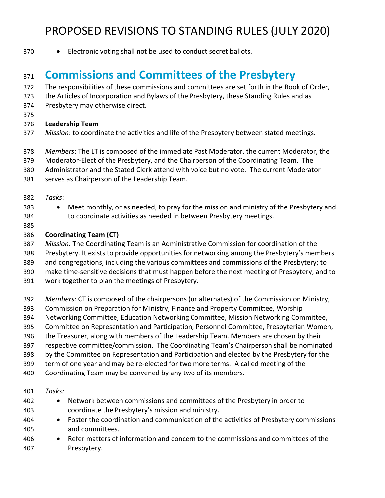- 
- Electronic voting shall not be used to conduct secret ballots.

#### **Commissions and Committees of the Presbytery**

- The responsibilities of these commissions and committees are set forth in the Book of Order,
- the Articles of Incorporation and Bylaws of the Presbytery, these Standing Rules and as
- Presbytery may otherwise direct.
- 

#### **Leadership Team**

- *Mission*: to coordinate the activities and life of the Presbytery between stated meetings.
- *Members*: The LT is composed of the immediate Past Moderator, the current Moderator, the
- Moderator-Elect of the Presbytery, and the Chairperson of the Coordinating Team. The
- Administrator and the Stated Clerk attend with voice but no vote. The current Moderator
- serves as Chairperson of the Leadership Team.
- *Tasks*:
- Meet monthly, or as needed, to pray for the mission and ministry of the Presbytery and to coordinate activities as needed in between Presbytery meetings.
- 

#### **Coordinating Team (CT)**

- *Mission:* The Coordinating Team is an Administrative Commission for coordination of the
- Presbytery. It exists to provide opportunities for networking among the Presbytery's members
- and congregations, including the various committees and commissions of the Presbytery; to
- make time-sensitive decisions that must happen before the next meeting of Presbytery; and to
- work together to plan the meetings of Presbytery.
- *Members:* CT is composed of the chairpersons (or alternates) of the Commission on Ministry,
- Commission on Preparation for Ministry, Finance and Property Committee, Worship
- Networking Committee, Education Networking Committee, Mission Networking Committee,
- Committee on Representation and Participation, Personnel Committee, Presbyterian Women,
- the Treasurer, along with members of the Leadership Team. Members are chosen by their
- respective committee/commission. The Coordinating Team's Chairperson shall be nominated
- by the Committee on Representation and Participation and elected by the Presbytery for the
- term of one year and may be re-elected for two more terms. A called meeting of the
- Coordinating Team may be convened by any two of its members.
- *Tasks:*
- Network between commissions and committees of the Presbytery in order to coordinate the Presbytery's mission and ministry.
- Foster the coordination and communication of the activities of Presbytery commissions and committees.
- Refer matters of information and concern to the commissions and committees of the Presbytery.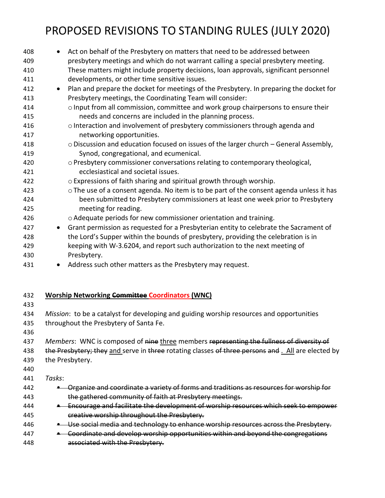| 408<br>409 | Act on behalf of the Presbytery on matters that need to be addressed between<br>$\bullet$<br>presbytery meetings and which do not warrant calling a special presbytery meeting. |
|------------|---------------------------------------------------------------------------------------------------------------------------------------------------------------------------------|
| 410        | These matters might include property decisions, loan approvals, significant personnel                                                                                           |
| 411        | developments, or other time sensitive issues.                                                                                                                                   |
| 412<br>413 | Plan and prepare the docket for meetings of the Presbytery. In preparing the docket for<br>$\bullet$<br>Presbytery meetings, the Coordinating Team will consider:               |
| 414<br>415 | o Input from all commission, committee and work group chairpersons to ensure their<br>needs and concerns are included in the planning process.                                  |
| 416        | o Interaction and involvement of presbytery commissioners through agenda and                                                                                                    |
| 417        | networking opportunities.                                                                                                                                                       |
| 418        | o Discussion and education focused on issues of the larger church - General Assembly,                                                                                           |
| 419        | Synod, congregational, and ecumenical.                                                                                                                                          |
| 420        | o Presbytery commissioner conversations relating to contemporary theological,                                                                                                   |
| 421        | ecclesiastical and societal issues.                                                                                                                                             |
| 422        | o Expressions of faith sharing and spiritual growth through worship.                                                                                                            |
| 423        | o The use of a consent agenda. No item is to be part of the consent agenda unless it has                                                                                        |
| 424        | been submitted to Presbytery commissioners at least one week prior to Presbytery                                                                                                |
| 425        | meeting for reading.                                                                                                                                                            |
| 426        | o Adequate periods for new commissioner orientation and training.                                                                                                               |
| 427        | Grant permission as requested for a Presbyterian entity to celebrate the Sacrament of<br>$\bullet$                                                                              |
| 428        | the Lord's Supper within the bounds of presbytery, providing the celebration is in                                                                                              |
| 429        | keeping with W-3.6204, and report such authorization to the next meeting of                                                                                                     |
| 430        | Presbytery.                                                                                                                                                                     |
| 431        | Address such other matters as the Presbytery may request.<br>$\bullet$                                                                                                          |
|            |                                                                                                                                                                                 |
| 432<br>433 | <b>Worship Networking Committee Coordinators (WNC)</b>                                                                                                                          |
| 434        | Mission: to be a catalyst for developing and guiding worship resources and opportunities                                                                                        |
| 435        | throughout the Presbytery of Santa Fe.                                                                                                                                          |
| 436        |                                                                                                                                                                                 |
| 437        | Members: WNC is composed of nine three members representing the fullness of diversity of                                                                                        |
| 438        | the Presbytery; they and serve in three rotating classes of three persons and . All are elected by                                                                              |
| 439        | the Presbytery.                                                                                                                                                                 |
| 440        |                                                                                                                                                                                 |
| 441        | Tasks:                                                                                                                                                                          |
| 442        | • Organize and coordinate a variety of forms and traditions as resources for worship for                                                                                        |
| 443        | the gathered community of faith at Presbytery meetings.                                                                                                                         |
| 444        | <b>.</b> Encourage and facilitate the development of worship resources which seek to empower                                                                                    |
| 445        | creative worship throughout the Presbytery.                                                                                                                                     |
| 446        | • Use social media and technology to enhance worship resources across the Presbytery.                                                                                           |
| 447        | - Coordinate and develop worship opportunities within and beyond the congregations                                                                                              |
| 448        | associated with the Presbytery.                                                                                                                                                 |
|            |                                                                                                                                                                                 |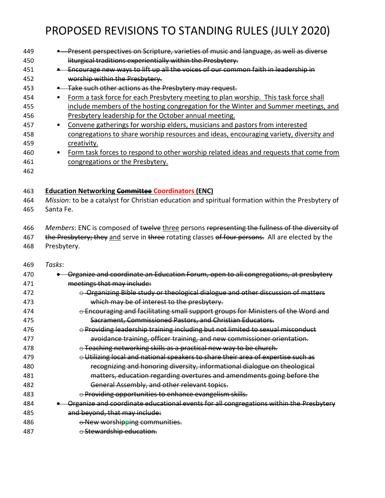| 449 |           | Present perspectives on Scripture, varieties of music and language, as well as diverse |
|-----|-----------|----------------------------------------------------------------------------------------|
| 450 |           | liturgical traditions experientially within the Presbytery.                            |
| 451 |           | Encourage new ways to lift up all the voices of our common faith in leadership in      |
| 452 |           | worship within the Presbytery.                                                         |
| 453 |           | Take such other actions as the Presbytery may request.                                 |
| 454 |           | Form a task force for each Presbytery meeting to plan worship. This task force shall   |
| 455 |           | include members of the hosting congregation for the Winter and Summer meetings, and    |
| 456 |           | Presbytery leadership for the October annual meeting.                                  |
| 457 | $\bullet$ | Convene gatherings for worship elders, musicians and pastors from interested           |
| 458 |           | congregations to share worship resources and ideas, encouraging variety, diversity and |
| 459 |           | creativity.                                                                            |
| 460 | ٠         | Form task forces to respond to other worship related ideas and requests that come from |
| 461 |           | congregations or the Presbytery.                                                       |
| 462 |           |                                                                                        |
|     |           |                                                                                        |

 **Education Networking Committee Coordinators (ENC)** *Mission*: to be a catalyst for Christian education and spiritual formation within the Presbytery of Santa Fe.

 *Members*: ENC is composed of twelve three persons representing the fullness of the diversity of 467 the Presbytery; they and serve in three rotating classes of four persons. All are elected by the Presbytery.

*Tasks*:

| 470 | Organize and coordinate an Education Forum, open to all congregations, at presbytery   |
|-----|----------------------------------------------------------------------------------------|
| 471 | meetings that may include:                                                             |
| 472 | Organizing Bible study or theological dialogue and other discussion of matters         |
| 473 | which may be of interest to the presbytery.                                            |
| 474 | ⊖ Encouraging and facilitating small support groups for Ministers of the Word and      |
| 475 | Sacrament, Commissioned Pastors, and Christian Educators.                              |
| 476 | o Providing leadership training including but not limited to sexual misconduct         |
| 477 | avoidance training, officer training, and new commissioner orientation.                |
| 478 | O Teaching networking skills as a practical new way to be church.                      |
| 479 | O Utilizing local and national speakers to share their area of expertise such as       |
| 480 | recognizing and honoring diversity, informational dialogue on theological              |
| 481 | matters, education regarding overtures and amendments going before the                 |
| 482 | General Assembly, and other relevant topics.                                           |
| 483 | e Providing opportunities to enhance evangelism skills.                                |
| 484 | Organize and coordinate educational events for all congregations within the Presbytery |
| 485 | and beyond, that may include:                                                          |
| 486 | O New worshipping communities.                                                         |
| 487 | $\odot$ Stewardship education.                                                         |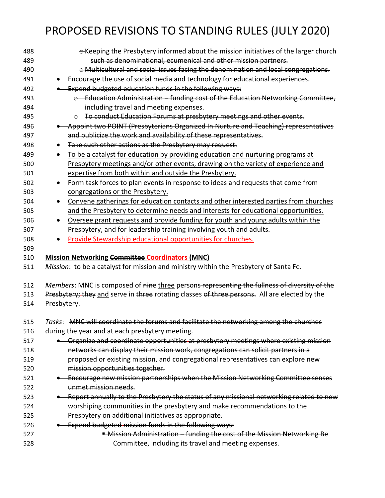| 488 | ⊖ Keeping the Presbytery informed about the mission initiatives of the larger church              |
|-----|---------------------------------------------------------------------------------------------------|
| 489 | such as denominational, ecumenical and other mission partners.                                    |
| 490 | o Multicultural and social issues facing the denomination and local congregations.                |
| 491 | . Encourage the use of social media and technology for educational experiences.                   |
| 492 | . Expend budgeted education funds in the following ways:                                          |
| 493 | $\circ$ Education Administration – funding cost of the Education Networking Committee,            |
| 494 | including travel and meeting expenses.                                                            |
| 495 | O To conduct Education Forums at presbytery meetings and other events.                            |
| 496 | • Appoint two POINT (Presbyterians Organized In Nurture and Teaching) representatives             |
| 497 | and publicize the work and availability of these representatives.                                 |
| 498 | Take such other actions as the Presbytery may request.                                            |
| 499 | To be a catalyst for education by providing education and nurturing programs at<br>$\bullet$      |
| 500 | Presbytery meetings and/or other events, drawing on the variety of experience and                 |
| 501 | expertise from both within and outside the Presbytery.                                            |
| 502 | Form task forces to plan events in response to ideas and requests that come from                  |
| 503 | congregations or the Presbytery.                                                                  |
| 504 | Convene gatherings for education contacts and other interested parties from churches<br>$\bullet$ |
| 505 | and the Presbytery to determine needs and interests for educational opportunities.                |
| 506 | Oversee grant requests and provide funding for youth and young adults within the                  |
| 507 | Presbytery, and for leadership training involving youth and adults.                               |
| 508 | Provide Stewardship educational opportunities for churches.                                       |
| 509 |                                                                                                   |
| 510 | <b>Mission Networking Committee Coordinators (MNC)</b>                                            |
| 511 | Mission: to be a catalyst for mission and ministry within the Presbytery of Santa Fe.             |
|     |                                                                                                   |
| 512 | Members: MNC is composed of nine three persons-representing the fullness of diversity of the      |
| 513 | Presbytery; they and serve in three rotating classes of three persons. All are elected by the     |
| 514 | Presbytery.                                                                                       |
|     |                                                                                                   |
| 515 | Tasks: MNC will coordinate the forums and facilitate the networking among the churches            |
| 516 | during the year and at each presbytery meeting.                                                   |
| 517 | Organize and coordinate opportunities at presbytery meetings where existing mission               |
| 518 | networks can display their mission work, congregations can solicit partners in a                  |
| 519 | proposed or existing mission, and congregational representatives can explore new                  |
| 520 | mission opportunities together.                                                                   |
| 521 | Encourage new mission partnerships when the Mission Networking Committee senses                   |
| 522 | unmet mission needs.                                                                              |
| 523 | Report annually to the Presbytery the status of any missional networking related to new           |
| 524 | worshiping communities in the presbytery and make recommendations to the                          |
| 525 | Presbytery on additional initiatives as appropriate.                                              |
| 526 | Expend budgeted mission funds in the following ways:                                              |
| 527 | <sup>*</sup> Mission Administration - funding the cost of the Mission Networking Be               |
| 528 | Committee, including its travel and meeting expenses.                                             |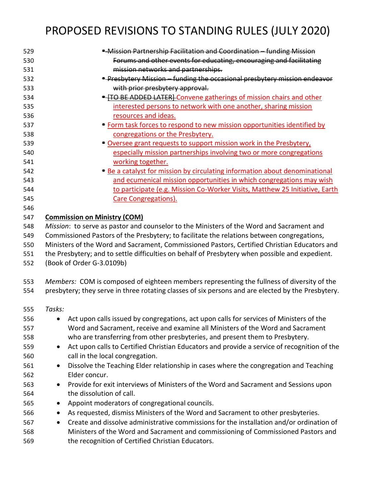| 529 | - Mission Partnership Facilitation and Coordination - funding Mission                                    |
|-----|----------------------------------------------------------------------------------------------------------|
| 530 | Forums and other events for educating, encouraging and facilitating                                      |
| 531 | mission networks and partnerships.                                                                       |
| 532 | <b>E</b> Presbytery Mission - funding the occasional presbytery mission endeavor                         |
| 533 | with prior presbytery approval.                                                                          |
| 534 | <b>E-HO BE ADDED LATER</b> Convene gatherings of mission chairs and other                                |
| 535 | interested persons to network with one another, sharing mission                                          |
| 536 | resources and ideas.                                                                                     |
| 537 | • Form task forces to respond to new mission opportunities identified by                                 |
| 538 | congregations or the Presbytery.                                                                         |
| 539 | • Oversee grant requests to support mission work in the Presbytery,                                      |
| 540 | especially mission partnerships involving two or more congregations                                      |
| 541 | working together.                                                                                        |
| 542 | • Be a catalyst for mission by circulating information about denominational                              |
| 543 | and ecumenical mission opportunities in which congregations may wish                                     |
| 544 | to participate (e.g. Mission Co-Worker Visits, Matthew 25 Initiative, Earth                              |
| 545 | <b>Care Congregations).</b>                                                                              |
| 546 |                                                                                                          |
| 547 | <b>Commission on Ministry (COM)</b>                                                                      |
| 548 | Mission: to serve as pastor and counselor to the Ministers of the Word and Sacrament and                 |
| 549 | Commissioned Pastors of the Presbytery; to facilitate the relations between congregations,               |
| 550 | Ministers of the Word and Sacrament, Commissioned Pastors, Certified Christian Educators and             |
| 551 | the Presbytery; and to settle difficulties on behalf of Presbytery when possible and expedient.          |
| 552 | (Book of Order G-3.0109b)                                                                                |
|     |                                                                                                          |
| 553 | Members: COM is composed of eighteen members representing the fullness of diversity of the               |
| 554 | presbytery; they serve in three rotating classes of six persons and are elected by the Presbytery.       |
| 555 | Tasks:                                                                                                   |
| 556 | Act upon calls issued by congregations, act upon calls for services of Ministers of the                  |
| 557 | Word and Sacrament, receive and examine all Ministers of the Word and Sacrament                          |
| 558 | who are transferring from other presbyteries, and present them to Presbytery.                            |
| 559 | Act upon calls to Certified Christian Educators and provide a service of recognition of the<br>$\bullet$ |
| 560 | call in the local congregation.                                                                          |
| 561 | Dissolve the Teaching Elder relationship in cases where the congregation and Teaching<br>$\bullet$       |
| 562 | Elder concur.                                                                                            |
| 563 | Provide for exit interviews of Ministers of the Word and Sacrament and Sessions upon<br>$\bullet$        |
| 564 | the dissolution of call.                                                                                 |
| 565 | Appoint moderators of congregational councils.<br>$\bullet$                                              |
| 566 | As requested, dismiss Ministers of the Word and Sacrament to other presbyteries.<br>$\bullet$            |
| 567 | Create and dissolve administrative commissions for the installation and/or ordination of<br>$\bullet$    |
| 568 | Ministers of the Word and Sacrament and commissioning of Commissioned Pastors and                        |
| 569 | the recognition of Certified Christian Educators.                                                        |
|     |                                                                                                          |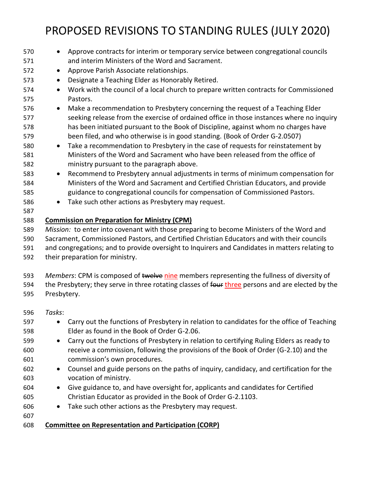| 570        | Approve contracts for interim or temporary service between congregational councils<br>$\bullet$<br>and interim Ministers of the Word and Sacrament.                             |  |
|------------|---------------------------------------------------------------------------------------------------------------------------------------------------------------------------------|--|
| 571        |                                                                                                                                                                                 |  |
| 572        | Approve Parish Associate relationships.<br>$\bullet$                                                                                                                            |  |
| 573        | Designate a Teaching Elder as Honorably Retired.                                                                                                                                |  |
| 574        | Work with the council of a local church to prepare written contracts for Commissioned<br>$\bullet$                                                                              |  |
| 575        | Pastors.                                                                                                                                                                        |  |
| 576        | Make a recommendation to Presbytery concerning the request of a Teaching Elder<br>$\bullet$                                                                                     |  |
| 577<br>578 | seeking release from the exercise of ordained office in those instances where no inquiry<br>has been initiated pursuant to the Book of Discipline, against whom no charges have |  |
| 579        | been filed, and who otherwise is in good standing. (Book of Order G-2.0507)                                                                                                     |  |
| 580        | Take a recommendation to Presbytery in the case of requests for reinstatement by<br>$\bullet$                                                                                   |  |
| 581        | Ministers of the Word and Sacrament who have been released from the office of                                                                                                   |  |
| 582        | ministry pursuant to the paragraph above.                                                                                                                                       |  |
| 583        | Recommend to Presbytery annual adjustments in terms of minimum compensation for<br>$\bullet$                                                                                    |  |
| 584        | Ministers of the Word and Sacrament and Certified Christian Educators, and provide                                                                                              |  |
| 585        | guidance to congregational councils for compensation of Commissioned Pastors.                                                                                                   |  |
| 586        | Take such other actions as Presbytery may request.<br>$\bullet$                                                                                                                 |  |
| 587        |                                                                                                                                                                                 |  |
| 588        | <b>Commission on Preparation for Ministry (CPM)</b>                                                                                                                             |  |
| 589        | Mission: to enter into covenant with those preparing to become Ministers of the Word and                                                                                        |  |
| 590        | Sacrament, Commissioned Pastors, and Certified Christian Educators and with their councils                                                                                      |  |
| 591        | and congregations; and to provide oversight to Inquirers and Candidates in matters relating to                                                                                  |  |
| 592        | their preparation for ministry.                                                                                                                                                 |  |
| 593        | Members: CPM is composed of twelve nine members representing the fullness of diversity of                                                                                       |  |
| 594        | the Presbytery; they serve in three rotating classes of four three persons and are elected by the                                                                               |  |
| 595        | Presbytery.                                                                                                                                                                     |  |
| 596        | Tasks:                                                                                                                                                                          |  |
| 597        | Carry out the functions of Presbytery in relation to candidates for the office of Teaching                                                                                      |  |
| 598        | Elder as found in the Book of Order G-2.06.                                                                                                                                     |  |
| 599        | Carry out the functions of Presbytery in relation to certifying Ruling Elders as ready to<br>$\bullet$                                                                          |  |
| 600        | receive a commission, following the provisions of the Book of Order (G-2.10) and the                                                                                            |  |
| 601        | commission's own procedures.                                                                                                                                                    |  |
| 602        | Counsel and guide persons on the paths of inquiry, candidacy, and certification for the<br>$\bullet$                                                                            |  |
| 603        | vocation of ministry.                                                                                                                                                           |  |
| 604        | Give guidance to, and have oversight for, applicants and candidates for Certified<br>$\bullet$                                                                                  |  |
| 605        | Christian Educator as provided in the Book of Order G-2.1103.                                                                                                                   |  |
| 606        | Take such other actions as the Presbytery may request.<br>$\bullet$                                                                                                             |  |
| 607        |                                                                                                                                                                                 |  |
| 608        | <b>Committee on Representation and Participation (CORP)</b>                                                                                                                     |  |
|            |                                                                                                                                                                                 |  |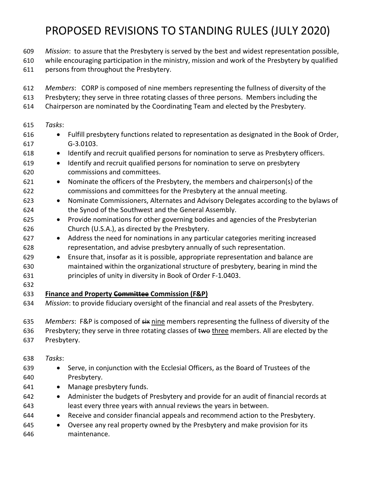- *Mission*: to assure that the Presbytery is served by the best and widest representation possible,
- while encouraging participation in the ministry, mission and work of the Presbytery by qualified
- persons from throughout the Presbytery.
- *Members*: CORP is composed of nine members representing the fullness of diversity of the
- Presbytery; they serve in three rotating classes of three persons. Members including the
- Chairperson are nominated by the Coordinating Team and elected by the Presbytery.
- *Tasks*:
- Fulfill presbytery functions related to representation as designated in the Book of Order, G-3.0103.
- Identify and recruit qualified persons for nomination to serve as Presbytery officers.
- Identify and recruit qualified persons for nomination to serve on presbytery commissions and committees.
- Nominate the officers of the Presbytery, the members and chairperson(s) of the commissions and committees for the Presbytery at the annual meeting.
- Nominate Commissioners, Alternates and Advisory Delegates according to the bylaws of the Synod of the Southwest and the General Assembly.
- Provide nominations for other governing bodies and agencies of the Presbyterian Church (U.S.A.), as directed by the Presbytery.
- Address the need for nominations in any particular categories meriting increased representation, and advise presbytery annually of such representation.
- Ensure that, insofar as it is possible, appropriate representation and balance are maintained within the organizational structure of presbytery, bearing in mind the principles of unity in diversity in Book of Order F-1.0403.
- 

#### **Finance and Property Committee Commission (F&P)**

*Mission*: to provide fiduciary oversight of the financial and real assets of the Presbytery.

635 Members: F&P is composed of  $s\ddot{s}$  nine members representing the fullness of diversity of the 636 Presbytery; they serve in three rotating classes of two three members. All are elected by the

- Presbytery.
- *Tasks*:
- Serve, in conjunction with the Ecclesial Officers, as the Board of Trustees of the Presbytery.
- 641 Manage presbytery funds.
- Administer the budgets of Presbytery and provide for an audit of financial records at least every three years with annual reviews the years in between.
- Receive and consider financial appeals and recommend action to the Presbytery.
- Oversee any real property owned by the Presbytery and make provision for its maintenance.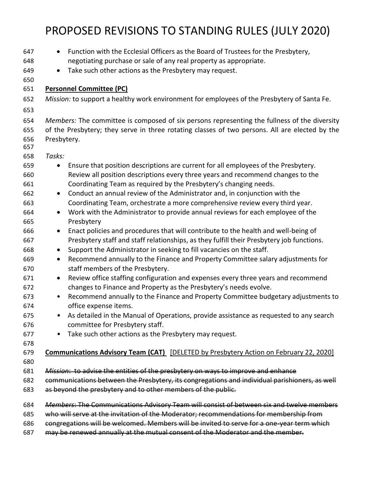| 647        | Function with the Ecclesial Officers as the Board of Trustees for the Presbytery,<br>$\bullet$      |
|------------|-----------------------------------------------------------------------------------------------------|
| 648        | negotiating purchase or sale of any real property as appropriate.                                   |
| 649        | Take such other actions as the Presbytery may request.<br>$\bullet$                                 |
| 650        |                                                                                                     |
| 651        | <b>Personnel Committee (PC)</b>                                                                     |
| 652        | Mission: to support a healthy work environment for employees of the Presbytery of Santa Fe.         |
| 653        |                                                                                                     |
| 654        | Members: The committee is composed of six persons representing the fullness of the diversity        |
| 655        | of the Presbytery; they serve in three rotating classes of two persons. All are elected by the      |
| 656<br>657 | Presbytery.                                                                                         |
| 658        | Tasks:                                                                                              |
| 659        | Ensure that position descriptions are current for all employees of the Presbytery.<br>$\bullet$     |
| 660        | Review all position descriptions every three years and recommend changes to the                     |
| 661        | Coordinating Team as required by the Presbytery's changing needs.                                   |
| 662        | Conduct an annual review of the Administrator and, in conjunction with the<br>$\bullet$             |
| 663        | Coordinating Team, orchestrate a more comprehensive review every third year.                        |
| 664        | Work with the Administrator to provide annual reviews for each employee of the<br>$\bullet$         |
| 665        | Presbytery                                                                                          |
| 666        | Enact policies and procedures that will contribute to the health and well-being of<br>$\bullet$     |
| 667        | Presbytery staff and staff relationships, as they fulfill their Presbytery job functions.           |
| 668        | Support the Administrator in seeking to fill vacancies on the staff.<br>$\bullet$                   |
| 669        | Recommend annually to the Finance and Property Committee salary adjustments for<br>$\bullet$        |
| 670        | staff members of the Presbytery.                                                                    |
| 671        | Review office staffing configuration and expenses every three years and recommend<br>$\bullet$      |
| 672        | changes to Finance and Property as the Presbytery's needs evolve.                                   |
| 673        | Recommend annually to the Finance and Property Committee budgetary adjustments to<br>$\bullet$      |
| 674        | office expense items.                                                                               |
| 675        | As detailed in the Manual of Operations, provide assistance as requested to any search<br>$\bullet$ |
| 676        | committee for Presbytery staff.                                                                     |
| 677        | Take such other actions as the Presbytery may request.                                              |
| 678        |                                                                                                     |
| 679        | <b>Communications Advisory Team (CAT)</b> [DELETED by Presbytery Action on February 22, 2020]       |
| 680        |                                                                                                     |
| 681        | Mission: to advise the entities of the presbytery on ways to improve and enhance                    |
| 682        | communications between the Presbytery, its congregations and individual parishioners, as well       |
| 683        | as beyond the presbytery and to other members of the public.                                        |
| 684        | Members: The Communications Advisory Team will consist of between six and twelve members            |
| 685        | who will serve at the invitation of the Moderator; recommendations for membership from              |
| 686        | congregations will be welcomed. Members will be invited to serve for a one-year term which          |
| 687        | may be renewed annually at the mutual consent of the Moderator and the member.                      |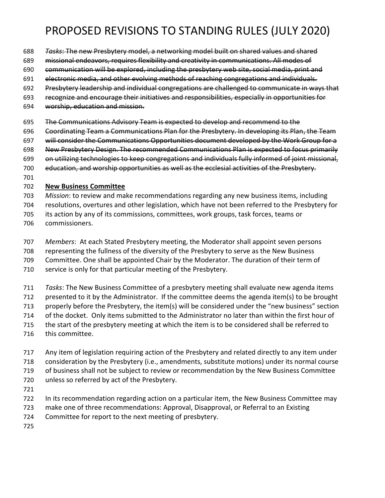- *Tasks*: The new Presbytery model, a networking model built on shared values and shared
- missional endeavors, requires flexibility and creativity in communications. All modes of
- communication will be explored, including the presbytery web site, social media, print and
- electronic media, and other evolving methods of reaching congregations and individuals.
- Presbytery leadership and individual congregations are challenged to communicate in ways that
- recognize and encourage their initiatives and responsibilities, especially in opportunities for
- worship, education and mission.
- The Communications Advisory Team is expected to develop and recommend to the
- Coordinating Team a Communications Plan for the Presbytery. In developing its Plan, the Team
- 697 will consider the Communications Opportunities document developed by the Work Group for a
- New Presbytery Design. The recommended Communications Plan is expected to focus primarily
- on utilizing technologies to keep congregations and individuals fully informed of joint missional,
- education, and worship opportunities as well as the ecclesial activities of the Presbytery.
- 

#### **New Business Committee**

- *Mission*: to review and make recommendations regarding any new business items, including
- resolutions, overtures and other legislation, which have not been referred to the Presbytery for
- its action by any of its commissions, committees, work groups, task forces, teams or
- commissioners.
- *Members*: At each Stated Presbytery meeting, the Moderator shall appoint seven persons
- representing the fullness of the diversity of the Presbytery to serve as the New Business
- Committee. One shall be appointed Chair by the Moderator. The duration of their term of
- service is only for that particular meeting of the Presbytery.
- *Tasks*: The New Business Committee of a presbytery meeting shall evaluate new agenda items
- presented to it by the Administrator. If the committee deems the agenda item(s) to be brought
- properly before the Presbytery, the item(s) will be considered under the "new business" section
- of the docket.Only items submitted to the Administrator no later than within the first hour of
- the start of the presbytery meeting at which the item is to be considered shall be referred to
- this committee.
- Any item of legislation requiring action of the Presbytery and related directly to any item under consideration by the Presbytery (i.e., amendments, substitute motions) under its normal course of business shall not be subject to review or recommendation by the New Business Committee
- unless so referred by act of the Presbytery.
- 
- In its recommendation regarding action on a particular item, the New Business Committee may
- make one of three recommendations: Approval, Disapproval, or Referral to an Existing
- Committee for report to the next meeting of presbytery.
-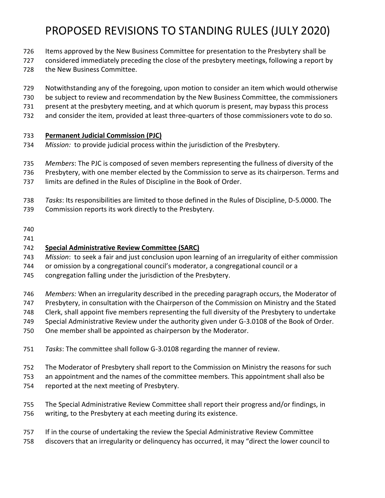- 726 Items approved by the New Business Committee for presentation to the Presbytery shall be
- considered immediately preceding the close of the presbytery meetings, following a report by
- the New Business Committee.
- Notwithstanding any of the foregoing, upon motion to consider an item which would otherwise
- be subject to review and recommendation by the New Business Committee, the commissioners
- present at the presbytery meeting, and at which quorum is present, may bypass this process
- and consider the item, provided at least three-quarters of those commissioners vote to do so.

#### **Permanent Judicial Commission (PJC)**

- *Mission:* to provide judicial process within the jurisdiction of the Presbytery.
- *Members*: The PJC is composed of seven members representing the fullness of diversity of the
- Presbytery, with one member elected by the Commission to serve as its chairperson. Terms and
- limits are defined in the Rules of Discipline in the Book of Order.
- *Tasks*: Its responsibilities are limited to those defined in the Rules of Discipline, D-5.0000. The
- Commission reports its work directly to the Presbytery.
- 
- 

#### **Special Administrative Review Committee (SARC)**

- *Mission*: to seek a fair and just conclusion upon learning of an irregularity of either commission
- or omission by a congregational council's moderator, a congregational council or a
- congregation falling under the jurisdiction of the Presbytery.
- *Members:* When an irregularity described in the preceding paragraph occurs, the Moderator of
- Presbytery, in consultation with the Chairperson of the Commission on Ministry and the Stated
- Clerk, shall appoint five members representing the full diversity of the Presbytery to undertake
- Special Administrative Review under the authority given under G-3.0108 of the Book of Order.
- One member shall be appointed as chairperson by the Moderator.
- *Tasks*: The committee shall follow G-3.0108 regarding the manner of review.
- The Moderator of Presbytery shall report to the Commission on Ministry the reasons for such
- an appointment and the names of the committee members. This appointment shall also be
- reported at the next meeting of Presbytery.
- The Special Administrative Review Committee shall report their progress and/or findings, in writing, to the Presbytery at each meeting during its existence.
- If in the course of undertaking the review the Special Administrative Review Committee
- discovers that an irregularity or delinquency has occurred, it may "direct the lower council to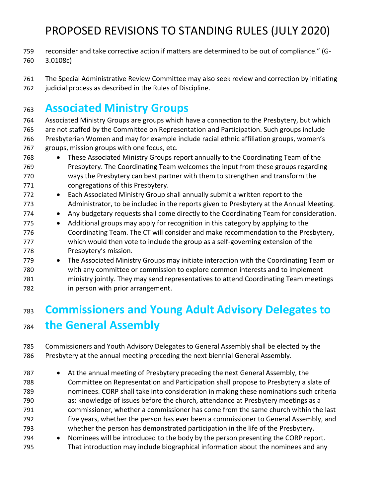- reconsider and take corrective action if matters are determined to be out of compliance." (G-3.0108c)
- The Special Administrative Review Committee may also seek review and correction by initiating 762 judicial process as described in the Rules of Discipline.

### **Associated Ministry Groups**

 Associated Ministry Groups are groups which have a connection to the Presbytery, but which are not staffed by the Committee on Representation and Participation. Such groups include Presbyterian Women and may for example include racial ethnic affiliation groups, women's groups, mission groups with one focus, etc.

- These Associated Ministry Groups report annually to the Coordinating Team of the Presbytery. The Coordinating Team welcomes the input from these groups regarding ways the Presbytery can best partner with them to strengthen and transform the congregations of this Presbytery.
- Each Associated Ministry Group shall annually submit a written report to the Administrator, to be included in the reports given to Presbytery at the Annual Meeting.
- 774 Any budgetary requests shall come directly to the Coordinating Team for consideration.
- 775 Additional groups may apply for recognition in this category by applying to the Coordinating Team. The CT will consider and make recommendation to the Presbytery, which would then vote to include the group as a self-governing extension of the Presbytery's mission.
- The Associated Ministry Groups may initiate interaction with the Coordinating Team or with any committee or commission to explore common interests and to implement ministry jointly. They may send representatives to attend Coordinating Team meetings in person with prior arrangement.

## **Commissioners and Young Adult Advisory Delegates to the General Assembly**

 Commissioners and Youth Advisory Delegates to General Assembly shall be elected by the Presbytery at the annual meeting preceding the next biennial General Assembly.

- At the annual meeting of Presbytery preceding the next General Assembly, the Committee on Representation and Participation shall propose to Presbytery a slate of nominees. CORP shall take into consideration in making these nominations such criteria as: knowledge of issues before the church, attendance at Presbytery meetings as a commissioner, whether a commissioner has come from the same church within the last five years, whether the person has ever been a commissioner to General Assembly, and whether the person has demonstrated participation in the life of the Presbytery.
- Nominees will be introduced to the body by the person presenting the CORP report. That introduction may include biographical information about the nominees and any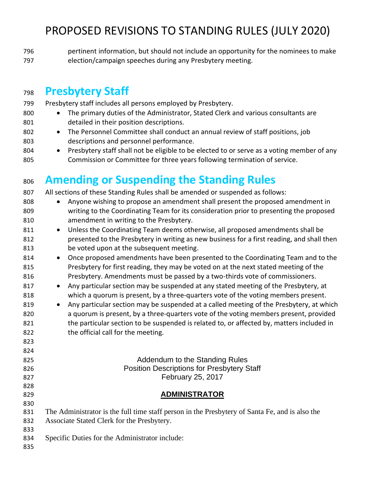pertinent information, but should not include an opportunity for the nominees to make election/campaign speeches during any Presbytery meeting.

#### **Presbytery Staff**

 Presbytery staff includes all persons employed by Presbytery. 800 • The primary duties of the Administrator, Stated Clerk and various consultants are detailed in their position descriptions. • The Personnel Committee shall conduct an annual review of staff positions, job descriptions and personnel performance. 804 • Presbytery staff shall not be eligible to be elected to or serve as a voting member of any Commission or Committee for three years following termination of service. **Amending or Suspending the Standing Rules** All sections of these Standing Rules shall be amended or suspended as follows: • Anyone wishing to propose an amendment shall present the proposed amendment in writing to the Coordinating Team for its consideration prior to presenting the proposed amendment in writing to the Presbytery. 811 • Unless the Coordinating Team deems otherwise, all proposed amendments shall be presented to the Presbytery in writing as new business for a first reading, and shall then be voted upon at the subsequent meeting. • Once proposed amendments have been presented to the Coordinating Team and to the Presbytery for first reading, they may be voted on at the next stated meeting of the Presbytery. Amendments must be passed by a two-thirds vote of commissioners. 817 • Any particular section may be suspended at any stated meeting of the Presbytery, at which a quorum is present, by a three-quarters vote of the voting members present. 819 • Any particular section may be suspended at a called meeting of the Presbytery, at which a quorum is present, by a three-quarters vote of the voting members present, provided 821 the particular section to be suspended is related to, or affected by, matters included in 822 the official call for the meeting. **Addendum to the Standing Rules**  Position Descriptions for Presbytery Staff February 25, 2017 **ADMINISTRATOR** The Administrator is the full time staff person in the Presbytery of Santa Fe, and is also the Associate Stated Clerk for the Presbytery. Specific Duties for the Administrator include: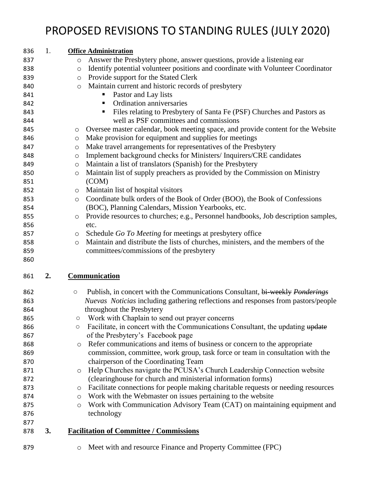| 836 | 1. | <b>Office Administration</b>                                                                                                                                      |
|-----|----|-------------------------------------------------------------------------------------------------------------------------------------------------------------------|
| 837 |    | Answer the Presbytery phone, answer questions, provide a listening ear<br>$\circ$                                                                                 |
| 838 |    | Identify potential volunteer positions and coordinate with Volunteer Coordinator<br>$\circlearrowright$                                                           |
| 839 |    | Provide support for the Stated Clerk<br>$\circ$                                                                                                                   |
| 840 |    | Maintain current and historic records of presbytery<br>$\circ$                                                                                                    |
| 841 |    | Pastor and Lay lists<br>п                                                                                                                                         |
| 842 |    | Ordination anniversaries<br>п                                                                                                                                     |
| 843 |    | Files relating to Presbytery of Santa Fe (PSF) Churches and Pastors as<br>п                                                                                       |
| 844 |    | well as PSF committees and commissions                                                                                                                            |
| 845 |    | Oversee master calendar, book meeting space, and provide content for the Website<br>$\circ$                                                                       |
| 846 |    | Make provision for equipment and supplies for meetings<br>$\circ$                                                                                                 |
| 847 |    | Make travel arrangements for representatives of the Presbytery<br>$\circ$                                                                                         |
| 848 |    | Implement background checks for Ministers/Inquirers/CRE candidates<br>$\circ$                                                                                     |
| 849 |    | Maintain a list of translators (Spanish) for the Presbytery<br>$\circlearrowright$                                                                                |
| 850 |    | Maintain list of supply preachers as provided by the Commission on Ministry<br>$\circlearrowright$                                                                |
| 851 |    | (COM)                                                                                                                                                             |
| 852 |    | Maintain list of hospital visitors<br>$\circ$                                                                                                                     |
| 853 |    | Coordinate bulk orders of the Book of Order (BOO), the Book of Confessions<br>$\circ$                                                                             |
| 854 |    | (BOC), Planning Calendars, Mission Yearbooks, etc.                                                                                                                |
| 855 |    | Provide resources to churches; e.g., Personnel handbooks, Job description samples,<br>$\circ$                                                                     |
| 856 |    | etc.                                                                                                                                                              |
| 857 |    | Schedule Go To Meeting for meetings at presbytery office<br>$\circ$                                                                                               |
| 858 |    | Maintain and distribute the lists of churches, ministers, and the members of the<br>$\circ$                                                                       |
| 859 |    | committees/commissions of the presbytery                                                                                                                          |
|     |    |                                                                                                                                                                   |
| 860 |    |                                                                                                                                                                   |
| 861 | 2. | <b>Communication</b>                                                                                                                                              |
| 862 |    | $\bigcirc$                                                                                                                                                        |
| 863 |    | Publish, in concert with the Communications Consultant, bi-weekly Ponderings<br>Nuevas Noticias including gathering reflections and responses from pastors/people |
| 864 |    | throughout the Presbytery                                                                                                                                         |
| 865 |    | Work with Chaplain to send out prayer concerns<br>$\circ$                                                                                                         |
| 866 |    | $\circ$ Facilitate, in concert with the Communications Consultant, the updating update                                                                            |
| 867 |    | of the Presbytery's Facebook page                                                                                                                                 |
| 868 |    | Refer communications and items of business or concern to the appropriate<br>$\circ$                                                                               |
| 869 |    | commission, committee, work group, task force or team in consultation with the                                                                                    |
| 870 |    | chairperson of the Coordinating Team                                                                                                                              |
| 871 |    | Help Churches navigate the PCUSA's Church Leadership Connection website<br>O                                                                                      |
| 872 |    | (clearinghouse for church and ministerial information forms)                                                                                                      |
| 873 |    | Facilitate connections for people making charitable requests or needing resources<br>$\circ$                                                                      |
| 874 |    | Work with the Webmaster on issues pertaining to the website<br>O                                                                                                  |
| 875 |    | Work with Communication Advisory Team (CAT) on maintaining equipment and<br>$\circ$                                                                               |
| 876 |    | technology                                                                                                                                                        |
| 877 |    |                                                                                                                                                                   |
| 878 | 3. | <b>Facilitation of Committee / Commissions</b>                                                                                                                    |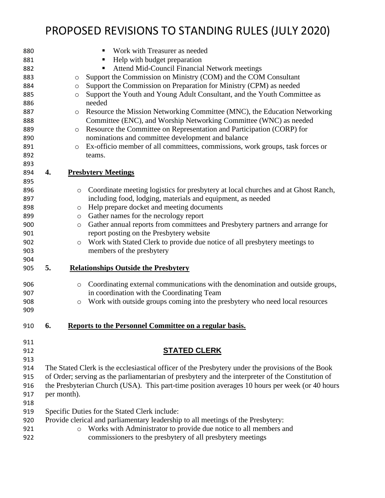| 880 |    | Work with Treasurer as needed                                                                     |
|-----|----|---------------------------------------------------------------------------------------------------|
| 881 |    | Help with budget preparation<br>п                                                                 |
| 882 |    | Attend Mid-Council Financial Network meetings                                                     |
| 883 |    | Support the Commission on Ministry (COM) and the COM Consultant<br>O                              |
| 884 |    | Support the Commission on Preparation for Ministry (CPM) as needed<br>O                           |
| 885 |    | Support the Youth and Young Adult Consultant, and the Youth Committee as<br>$\circ$               |
| 886 |    | needed                                                                                            |
| 887 |    | Resource the Mission Networking Committee (MNC), the Education Networking<br>$\circ$              |
| 888 |    | Committee (ENC), and Worship Networking Committee (WNC) as needed                                 |
| 889 |    | Resource the Committee on Representation and Participation (CORP) for<br>$\circ$                  |
| 890 |    | nominations and committee development and balance                                                 |
| 891 |    | Ex-officio member of all committees, commissions, work groups, task forces or<br>$\circ$          |
| 892 |    | teams.                                                                                            |
| 893 |    |                                                                                                   |
| 894 | 4. | <b>Presbytery Meetings</b>                                                                        |
| 895 |    |                                                                                                   |
| 896 |    | Coordinate meeting logistics for presbytery at local churches and at Ghost Ranch,<br>$\circ$      |
| 897 |    | including food, lodging, materials and equipment, as needed                                       |
| 898 |    | Help prepare docket and meeting documents<br>$\circ$                                              |
| 899 |    | Gather names for the necrology report<br>$\circ$                                                  |
| 900 |    | Gather annual reports from committees and Presbytery partners and arrange for<br>$\circ$          |
| 901 |    | report posting on the Presbytery website                                                          |
| 902 |    | Work with Stated Clerk to provide due notice of all presbytery meetings to<br>$\circ$             |
| 903 |    | members of the presbytery                                                                         |
| 904 |    |                                                                                                   |
| 905 | 5. | <b>Relationships Outside the Presbytery</b>                                                       |
| 906 |    | Coordinating external communications with the denomination and outside groups,<br>$\circ$         |
| 907 |    | in coordination with the Coordinating Team                                                        |
| 908 |    | Work with outside groups coming into the presbytery who need local resources<br>$\circ$           |
| 909 |    |                                                                                                   |
|     |    |                                                                                                   |
| 910 | 6. | Reports to the Personnel Committee on a regular basis.                                            |
| 911 |    |                                                                                                   |
| 912 |    | <b>STATED CLERK</b>                                                                               |
| 913 |    |                                                                                                   |
| 914 |    | The Stated Clerk is the ecclesiastical officer of the Presbytery under the provisions of the Book |
| 915 |    | of Order; serving as the parliamentarian of presbytery and the interpreter of the Constitution of |
| 916 |    | the Presbyterian Church (USA). This part-time position averages 10 hours per week (or 40 hours    |
| 917 |    | per month).                                                                                       |
| 918 |    |                                                                                                   |
| 919 |    | Specific Duties for the Stated Clerk include:                                                     |
| 920 |    | Provide clerical and parliamentary leadership to all meetings of the Presbytery:                  |
| 921 |    | Works with Administrator to provide due notice to all members and<br>$\circ$                      |
| 922 |    | commissioners to the presbytery of all presbytery meetings                                        |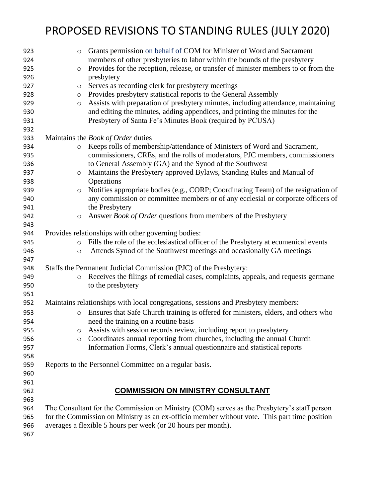| 923 | $\circ$                                                                                      | Grants permission on behalf of COM for Minister of Word and Sacrament                       |  |
|-----|----------------------------------------------------------------------------------------------|---------------------------------------------------------------------------------------------|--|
| 924 |                                                                                              | members of other presbyteries to labor within the bounds of the presbytery                  |  |
| 925 | $\circ$                                                                                      | Provides for the reception, release, or transfer of minister members to or from the         |  |
| 926 |                                                                                              | presbytery                                                                                  |  |
| 927 | $\circ$                                                                                      | Serves as recording clerk for presbytery meetings                                           |  |
| 928 | $\circ$                                                                                      | Provides presbytery statistical reports to the General Assembly                             |  |
| 929 | $\circ$                                                                                      | Assists with preparation of presbytery minutes, including attendance, maintaining           |  |
| 930 |                                                                                              | and editing the minutes, adding appendices, and printing the minutes for the                |  |
| 931 |                                                                                              | Presbytery of Santa Fe's Minutes Book (required by PCUSA)                                   |  |
| 932 |                                                                                              |                                                                                             |  |
| 933 |                                                                                              | Maintains the <i>Book of Order</i> duties                                                   |  |
| 934 | $\circ$                                                                                      | Keeps rolls of membership/attendance of Ministers of Word and Sacrament,                    |  |
| 935 |                                                                                              | commissioners, CREs, and the rolls of moderators, PJC members, commissioners                |  |
| 936 |                                                                                              | to General Assembly (GA) and the Synod of the Southwest                                     |  |
| 937 | $\circ$                                                                                      | Maintains the Presbytery approved Bylaws, Standing Rules and Manual of                      |  |
| 938 |                                                                                              | Operations                                                                                  |  |
| 939 | $\circ$                                                                                      | Notifies appropriate bodies (e.g., CORP; Coordinating Team) of the resignation of           |  |
| 940 |                                                                                              | any commission or committee members or of any ecclesial or corporate officers of            |  |
| 941 |                                                                                              | the Presbytery                                                                              |  |
| 942 | $\circ$                                                                                      | Answer Book of Order questions from members of the Presbytery                               |  |
| 943 |                                                                                              |                                                                                             |  |
| 944 |                                                                                              | Provides relationships with other governing bodies:                                         |  |
| 945 | $\circ$                                                                                      | Fills the role of the ecclesiastical officer of the Presbytery at ecumenical events         |  |
| 946 | $\circ$                                                                                      | Attends Synod of the Southwest meetings and occasionally GA meetings                        |  |
| 947 |                                                                                              |                                                                                             |  |
| 948 |                                                                                              | Staffs the Permanent Judicial Commission (PJC) of the Presbytery:                           |  |
| 949 | $\circ$                                                                                      | Receives the filings of remedial cases, complaints, appeals, and requests germane           |  |
| 950 |                                                                                              | to the presbytery                                                                           |  |
| 951 |                                                                                              |                                                                                             |  |
| 952 |                                                                                              | Maintains relationships with local congregations, sessions and Presbytery members:          |  |
| 953 | $\circ$                                                                                      | Ensures that Safe Church training is offered for ministers, elders, and others who          |  |
| 954 |                                                                                              | need the training on a routine basis                                                        |  |
| 955 | O                                                                                            | Assists with session records review, including report to presbytery                         |  |
| 956 | $\circ$                                                                                      | Coordinates annual reporting from churches, including the annual Church                     |  |
| 957 |                                                                                              | Information Forms, Clerk's annual questionnaire and statistical reports                     |  |
| 958 |                                                                                              |                                                                                             |  |
| 959 |                                                                                              | Reports to the Personnel Committee on a regular basis.                                      |  |
| 960 |                                                                                              |                                                                                             |  |
| 961 |                                                                                              |                                                                                             |  |
| 962 |                                                                                              | <b>COMMISSION ON MINISTRY CONSULTANT</b>                                                    |  |
| 963 |                                                                                              |                                                                                             |  |
| 964 |                                                                                              | The Consultant for the Commission on Ministry (COM) serves as the Presbytery's staff person |  |
| 965 | for the Commission on Ministry as an ex-officio member without vote. This part time position |                                                                                             |  |
| 966 |                                                                                              | averages a flexible 5 hours per week (or 20 hours per month).                               |  |
| 967 |                                                                                              |                                                                                             |  |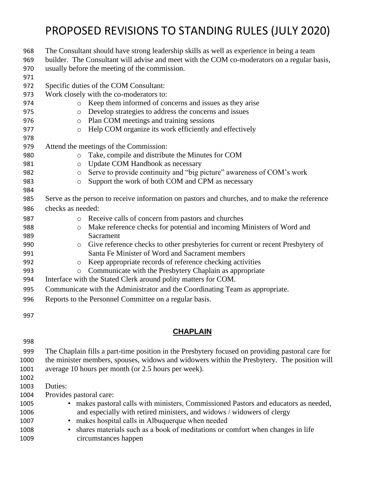| 968  | The Consultant should have strong leadership skills as well as experience in being a team        |  |  |
|------|--------------------------------------------------------------------------------------------------|--|--|
| 969  | builder. The Consultant will advise and meet with the COM co-moderators on a regular basis,      |  |  |
| 970  | usually before the meeting of the commission.                                                    |  |  |
| 971  |                                                                                                  |  |  |
| 972  | Specific duties of the COM Consultant:                                                           |  |  |
| 973  | Work closely with the co-moderators to:                                                          |  |  |
| 974  | Keep them informed of concerns and issues as they arise<br>$\circ$                               |  |  |
| 975  | Develop strategies to address the concerns and issues<br>$\circ$                                 |  |  |
| 976  | Plan COM meetings and training sessions<br>$\circ$                                               |  |  |
| 977  | Help COM organize its work efficiently and effectively<br>$\circ$                                |  |  |
| 978  |                                                                                                  |  |  |
| 979  | Attend the meetings of the Commission:                                                           |  |  |
| 980  | Take, compile and distribute the Minutes for COM<br>$\circ$                                      |  |  |
| 981  | Update COM Handbook as necessary<br>$\circ$                                                      |  |  |
| 982  | Serve to provide continuity and "big picture" awareness of COM's work<br>$\circ$                 |  |  |
| 983  | Support the work of both COM and CPM as necessary<br>$\circ$                                     |  |  |
| 984  |                                                                                                  |  |  |
| 985  | Serve as the person to receive information on pastors and churches, and to make the reference    |  |  |
| 986  | checks as needed:                                                                                |  |  |
| 987  | Receive calls of concern from pastors and churches<br>$\circ$                                    |  |  |
| 988  | Make reference checks for potential and incoming Ministers of Word and<br>$\circ$                |  |  |
| 989  | Sacrament                                                                                        |  |  |
| 990  | Give reference checks to other presbyteries for current or recent Presbytery of<br>$\circ$       |  |  |
| 991  | Santa Fe Minister of Word and Sacrament members                                                  |  |  |
| 992  | Keep appropriate records of reference checking activities<br>$\circ$                             |  |  |
| 993  | Communicate with the Presbytery Chaplain as appropriate<br>$\circ$                               |  |  |
| 994  | Interface with the Stated Clerk around polity matters for COM.                                   |  |  |
| 995  | Communicate with the Administrator and the Coordinating Team as appropriate.                     |  |  |
| 996  | Reports to the Personnel Committee on a regular basis.                                           |  |  |
|      |                                                                                                  |  |  |
| 997  |                                                                                                  |  |  |
|      | <b>CHAPLAIN</b>                                                                                  |  |  |
|      |                                                                                                  |  |  |
| 998  |                                                                                                  |  |  |
| 999  | The Chaplain fills a part-time position in the Presbytery focused on providing pastoral care for |  |  |
| 1000 | the minister members, spouses, widows and widowers within the Presbytery. The position will      |  |  |
| 1001 | average 10 hours per month (or 2.5 hours per week).                                              |  |  |
| 1002 |                                                                                                  |  |  |
| 1003 | Duties:                                                                                          |  |  |
| 1004 | Provides pastoral care:                                                                          |  |  |
| 1005 | • makes pastoral calls with ministers, Commissioned Pastors and educators as needed,             |  |  |
| 1006 | and especially with retired ministers, and widows / widowers of clergy                           |  |  |
| 1007 | makes hospital calls in Albuquerque when needed                                                  |  |  |
| 1008 | shares materials such as a book of meditations or comfort when changes in life                   |  |  |
| 1009 | circumstances happen                                                                             |  |  |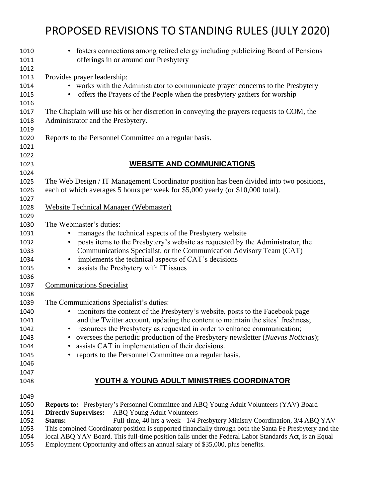| 1010<br>1011 | • fosters connections among retired clergy including publicizing Board of Pensions<br>offerings in or around our Presbytery                                 |
|--------------|-------------------------------------------------------------------------------------------------------------------------------------------------------------|
| 1012         |                                                                                                                                                             |
| 1013         | Provides prayer leadership:                                                                                                                                 |
| 1014         | • works with the Administrator to communicate prayer concerns to the Presbytery                                                                             |
| 1015         | offers the Prayers of the People when the presbytery gathers for worship                                                                                    |
| 1016         |                                                                                                                                                             |
| 1017         | The Chaplain will use his or her discretion in conveying the prayers requests to COM, the                                                                   |
| 1018         | Administrator and the Presbytery.                                                                                                                           |
| 1019         |                                                                                                                                                             |
| 1020         | Reports to the Personnel Committee on a regular basis.                                                                                                      |
| 1021         |                                                                                                                                                             |
| 1022<br>1023 | <b>WEBSITE AND COMMUNICATIONS</b>                                                                                                                           |
| 1024         |                                                                                                                                                             |
| 1025         | The Web Design / IT Management Coordinator position has been divided into two positions,                                                                    |
| 1026         | each of which averages 5 hours per week for \$5,000 yearly (or \$10,000 total).                                                                             |
| 1027         |                                                                                                                                                             |
| 1028         | <b>Website Technical Manager (Webmaster)</b>                                                                                                                |
| 1029         |                                                                                                                                                             |
| 1030         | The Webmaster's duties:                                                                                                                                     |
| 1031         | manages the technical aspects of the Presbytery website                                                                                                     |
| 1032         | posts items to the Presbytery's website as requested by the Administrator, the                                                                              |
| 1033         | Communications Specialist, or the Communication Advisory Team (CAT)                                                                                         |
| 1034         | implements the technical aspects of CAT's decisions<br>$\bullet$                                                                                            |
| 1035         | assists the Presbytery with IT issues<br>$\bullet$                                                                                                          |
| 1036         |                                                                                                                                                             |
| 1037         | <b>Communications Specialist</b>                                                                                                                            |
| 1038         |                                                                                                                                                             |
| 1039         | The Communications Specialist's duties:                                                                                                                     |
| 1040         | monitors the content of the Presbytery's website, posts to the Facebook page                                                                                |
| 1041         | and the Twitter account, updating the content to maintain the sites' freshness;                                                                             |
| 1042         | resources the Presbytery as requested in order to enhance communication;                                                                                    |
| 1043         | oversees the periodic production of the Presbytery newsletter (Nuevas Noticias);                                                                            |
| 1044         | assists CAT in implementation of their decisions.<br>٠                                                                                                      |
| 1045         | reports to the Personnel Committee on a regular basis.                                                                                                      |
| 1046         |                                                                                                                                                             |
| 1047         |                                                                                                                                                             |
| 1048         | YOUTH & YOUNG ADULT MINISTRIES COORDINATOR                                                                                                                  |
|              |                                                                                                                                                             |
| 1049         |                                                                                                                                                             |
| 1050         | <b>Reports to:</b> Presbytery's Personnel Committee and ABQ Young Adult Volunteers (YAV) Board                                                              |
| 1051<br>1052 | <b>Directly Supervises:</b><br><b>ABQ Young Adult Volunteers</b><br>Full-time, 40 hrs a week - 1/4 Presbytery Ministry Coordination, 3/4 ABQ YAV<br>Status: |
| 1053         | This combined Coordinator position is supported financially through both the Santa Fe Presbytery and the                                                    |
| 1054         | local ABQ YAV Board. This full-time position falls under the Federal Labor Standards Act, is an Equal                                                       |
| 1055         | Employment Opportunity and offers an annual salary of \$35,000, plus benefits.                                                                              |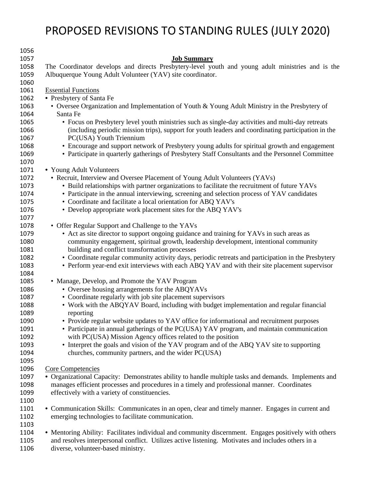| 1056 |                                                                                                       |
|------|-------------------------------------------------------------------------------------------------------|
| 1057 | <b>Job Summary</b>                                                                                    |
| 1058 | The Coordinator develops and directs Presbytery-level youth and young adult ministries and is the     |
| 1059 | Albuquerque Young Adult Volunteer (YAV) site coordinator.                                             |
| 1060 |                                                                                                       |
| 1061 | <b>Essential Functions</b>                                                                            |
| 1062 | • Presbytery of Santa Fe                                                                              |
| 1063 | • Oversee Organization and Implementation of Youth & Young Adult Ministry in the Presbytery of        |
| 1064 | Santa Fe                                                                                              |
| 1065 | • Focus on Presbytery level youth ministries such as single-day activities and multi-day retreats     |
| 1066 | (including periodic mission trips), support for youth leaders and coordinating participation in the   |
|      |                                                                                                       |
| 1067 | PC(USA) Youth Triennium                                                                               |
| 1068 | • Encourage and support network of Presbytery young adults for spiritual growth and engagement        |
| 1069 | • Participate in quarterly gatherings of Presbytery Staff Consultants and the Personnel Committee     |
| 1070 |                                                                                                       |
| 1071 | • Young Adult Volunteers                                                                              |
| 1072 | • Recruit, Interview and Oversee Placement of Young Adult Volunteers (YAVs)                           |
| 1073 | • Build relationships with partner organizations to facilitate the recruitment of future YAVs         |
| 1074 | • Participate in the annual interviewing, screening and selection process of YAV candidates           |
| 1075 | • Coordinate and facilitate a local orientation for ABQ YAV's                                         |
| 1076 | • Develop appropriate work placement sites for the ABQ YAV's                                          |
| 1077 |                                                                                                       |
| 1078 | • Offer Regular Support and Challenge to the YAVs                                                     |
| 1079 | • Act as site director to support ongoing guidance and training for YAVs in such areas as             |
| 1080 | community engagement, spiritual growth, leadership development, intentional community                 |
| 1081 | building and conflict transformation processes                                                        |
| 1082 | • Coordinate regular community activity days, periodic retreats and participation in the Presbytery   |
| 1083 | • Perform year-end exit interviews with each ABQ YAV and with their site placement supervisor         |
| 1084 |                                                                                                       |
| 1085 | • Manage, Develop, and Promote the YAV Program                                                        |
| 1086 | • Oversee housing arrangements for the ABQYAVs                                                        |
| 1087 | • Coordinate regularly with job site placement supervisors                                            |
| 1088 | • Work with the ABQYAV Board, including with budget implementation and regular financial              |
| 1089 | reporting                                                                                             |
| 1090 | • Provide regular website updates to YAV office for informational and recruitment purposes            |
| 1091 | • Participate in annual gatherings of the PC(USA) YAV program, and maintain communication             |
| 1092 | with PC(USA) Mission Agency offices related to the position                                           |
| 1093 | • Interpret the goals and vision of the YAV program and of the ABQ YAV site to supporting             |
| 1094 | churches, community partners, and the wider PC(USA)                                                   |
| 1095 |                                                                                                       |
|      |                                                                                                       |
| 1096 | <b>Core Competencies</b>                                                                              |
| 1097 | • Organizational Capacity: Demonstrates ability to handle multiple tasks and demands. Implements and  |
| 1098 | manages efficient processes and procedures in a timely and professional manner. Coordinates           |
| 1099 | effectively with a variety of constituencies.                                                         |
| 1100 |                                                                                                       |
| 1101 | • Communication Skills: Communicates in an open, clear and timely manner. Engages in current and      |
| 1102 | emerging technologies to facilitate communication.                                                    |
| 1103 |                                                                                                       |
| 1104 | • Mentoring Ability: Facilitates individual and community discernment. Engages positively with others |
| 1105 | and resolves interpersonal conflict. Utilizes active listening. Motivates and includes others in a    |
| 1106 | diverse, volunteer-based ministry.                                                                    |